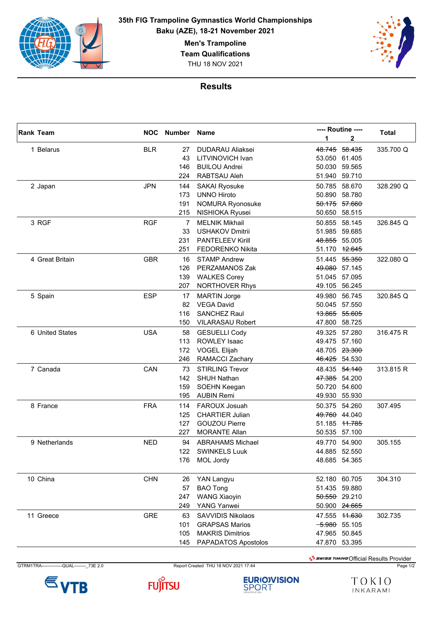

**35th FIG Trampoline Gymnastics World Championships Baku (AZE), 18-21 November 2021**

**Men's Trampoline**

**Team Qualifications**

THU 18 NOV 2021



## **Results**

|  | <b>Rank Team</b> |            | <b>NOC</b> Number | <b>Name</b>             |        | ---- Routine ----        | <b>Total</b> |
|--|------------------|------------|-------------------|-------------------------|--------|--------------------------|--------------|
|  |                  |            |                   |                         | 1      | 2                        |              |
|  | 1 Belarus        | <b>BLR</b> | 27                | <b>DUDARAU Aliaksei</b> |        | 48.745 58.435            | 335.700 Q    |
|  |                  |            | 43                | LITVINOVICH Ivan        |        | 53.050 61.405            |              |
|  |                  |            | 146               | <b>BUILOU Andrei</b>    |        | 50.030 59.565            |              |
|  |                  |            | 224               | RABTSAU Aleh            |        | 51.940 59.710            |              |
|  | 2 Japan          | <b>JPN</b> | 144               | <b>SAKAI Ryosuke</b>    | 50.785 | 58.670                   | 328.290 Q    |
|  |                  |            | 173               | <b>UNNO Hiroto</b>      |        | 50.890 58.780            |              |
|  |                  |            | 191               | NOMURA Ryonosuke        |        | 50.175 57.660            |              |
|  |                  |            | 215               | NISHIOKA Ryusei         |        | 50.650 58.515            |              |
|  | 3 RGF            | <b>RGF</b> | 7                 | <b>MELNIK Mikhail</b>   | 50.855 | 58.145                   | 326.845 Q    |
|  |                  |            | 33                | <b>USHAKOV Dmitrii</b>  | 51.985 | 59.685                   |              |
|  |                  |            | 231               | <b>PANTELEEV Kirill</b> |        | 48.855 55.005            |              |
|  |                  |            | 251               | <b>FEDORENKO Nikita</b> |        | 51.170 12.645            |              |
|  | 4 Great Britain  | <b>GBR</b> | 16                | <b>STAMP Andrew</b>     |        | 51.445 55.350            | 322.080 Q    |
|  |                  |            | 126               | PERZAMANOS Zak          |        | 49.080 57.145            |              |
|  |                  |            | 139               | <b>WALKES Corey</b>     |        | 51.045 57.095            |              |
|  |                  |            | 207               | <b>NORTHOVER Rhys</b>   |        | 49.105 56.245            |              |
|  | 5 Spain          | <b>ESP</b> | 17                | <b>MARTIN Jorge</b>     | 49.980 | 56.745                   | 320.845 Q    |
|  |                  |            | 82                | <b>VEGA David</b>       |        | 50.045 57.550            |              |
|  |                  |            | 116               | <b>SANCHEZ Raul</b>     |        | 13.865 55.605            |              |
|  |                  |            | 150               | <b>VILARASAU Robert</b> | 47.800 | 58.725                   |              |
|  | 6 United States  | <b>USA</b> | 58                | <b>GESUELLI Cody</b>    | 49.325 | 57.280                   | 316.475 R    |
|  |                  |            | 113               | <b>ROWLEY Isaac</b>     |        | 49.475 57.160            |              |
|  |                  |            | 172               | <b>VOGEL Elijah</b>     |        | 48.705 23.300            |              |
|  |                  |            | 246               | RAMACCI Zachary         |        | 46.425 54.530            |              |
|  | 7 Canada         | CAN        | 73                | <b>STIRLING Trevor</b>  |        | 48.435 54.140            | 313.815 R    |
|  |                  |            | 142               | <b>SHUH Nathan</b>      |        | 47.385 54.200            |              |
|  |                  |            | 159               | SOEHN Keegan            |        | 50.720 54.600            |              |
|  |                  |            | 195               | <b>AUBIN Remi</b>       |        | 49.930 55.930            |              |
|  | 8 France         | <b>FRA</b> | 114               | FAROUX Josuah           |        | 50.375 54.260            | 307.495      |
|  |                  |            | 125               | <b>CHARTIER Julian</b>  |        | 49.760 44.040            |              |
|  |                  |            | 127               | <b>GOUZOU Pierre</b>    |        | 51.185 <del>11.785</del> |              |
|  |                  |            | 227               | <b>MORANTE Allan</b>    |        | 50.535 57.100            |              |
|  | 9 Netherlands    | <b>NED</b> | 94                | <b>ABRAHAMS Michael</b> |        | 49.770 54.900            | 305.155      |
|  |                  |            | 122               | <b>SWINKELS Luuk</b>    |        | 44.885 52.550            |              |
|  |                  |            | 176               | MOL Jordy               |        | 48.685 54.365            |              |
|  |                  |            |                   |                         |        |                          |              |
|  | 10 China         | <b>CHN</b> | 26                | YAN Langyu              |        | 52.180 60.705            | 304.310      |
|  |                  |            | 57                | <b>BAO Tong</b>         |        | 51.435 59.880            |              |
|  |                  |            | 247               | <b>WANG Xiaoyin</b>     |        | 50.550 29.210            |              |
|  |                  |            | 249               | YANG Yanwei             |        | 50.900 24.665            |              |
|  | 11 Greece        | <b>GRE</b> | 63                | SAVVIDIS Nikolaos       |        | 47.555 11.630            | 302.735      |
|  |                  |            | 101               | <b>GRAPSAS Marios</b>   |        | $-5.980$ 55.105          |              |
|  |                  |            | 105               | <b>MAKRIS Dimitrios</b> |        | 47.965 50.845            |              |
|  |                  |            | 145               | PAPADATOS Apostolos     |        | 47.870 53.395            |              |
|  |                  |            |                   |                         |        |                          |              |



 $\frac{1}{2}$ swiss TIMING Official Results Provider







TOKIO INKARAMI